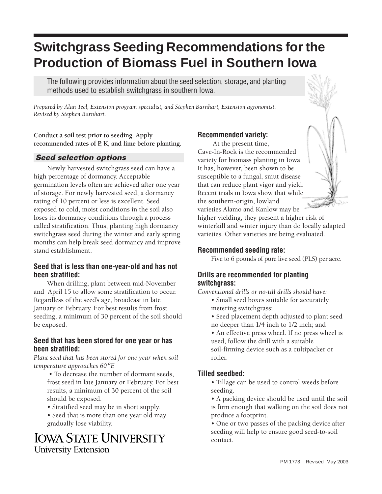# **Switchgrass Seeding Recommendations for the Production of Biomass Fuel in Southern Iowa**

The following provides information about the seed selection, storage, and planting methods used to establish switchgrass in southern Iowa.

*Prepared by Alan Teel, Extension program specialist, and Stephen Barnhart, Extension agronomist. Revised by Stephen Barnhart.* 

**Conduct a soil test prior to seeding. Apply recommended rates of P, K, and lime before planting.** 

# **Seed selection options**

Newly harvested switchgrass seed can have a high percentage of dormancy. Acceptable germination levels often are achieved after one year of storage. For newly harvested seed, a dormancy rating of 10 percent or less is excellent. Seed exposed to cold, moist conditions in the soil also loses its dormancy conditions through a process called stratification. Thus, planting high dormancy switchgrass seed during the winter and early spring months can help break seed dormancy and improve stand establishment.

### **Seed that is less than one-year-old and has not been stratified:**

When drilling, plant between mid-November and April 15 to allow some stratification to occur. Regardless of the seed's age, broadcast in late January or February. For best results from frost seeding, a minimum of 30 percent of the soil should be exposed.

### **Seed that has been stored for one year or has been stratified:**

*Plant seed that has been stored for one year when soil temperature approaches 60*° *F.*

 • To decrease the number of dormant seeds, frost seed in late January or February. For best results, a minimum of 30 percent of the soil should be exposed.

- Stratified seed may be in short supply.
- Seed that is more than one year old may gradually lose viability.

# **IOWA STATE UNIVERSITY University Extension**

# **Recommended variety:**

At the present time, Cave-In-Rock is the recommended variety for biomass planting in Iowa. It has, however, been shown to be susceptible to a fungal, smut disease that can reduce plant vigor and yield. Recent trials in Iowa show that while the southern-origin, lowland varieties Alamo and Kanlow may be

higher yielding, they present a higher risk of winterkill and winter injury than do locally adapted varieties. Other varieties are being evaluated.

### **Recommended seeding rate:**

Five to 6 pounds of pure live seed (PLS) per acre.

# **Drills are recommended for planting switchgrass:**

*Conventional drills or no-till drills should have:* 

- Small seed boxes suitable for accurately metering switchgrass;
- Seed placement depth adjusted to plant seed no deeper than 1/4 inch to 1/2 inch; and
- An effective press wheel. If no press wheel is used, follow the drill with a suitable soil-firming device such as a cultipacker or roller.

# **Tilled seedbed:**

- Tillage can be used to control weeds before seeding.
- A packing device should be used until the soil is firm enough that walking on the soil does not produce a footprint.

• One or two passes of the packing device after seeding will help to ensure good seed-to-soil contact.